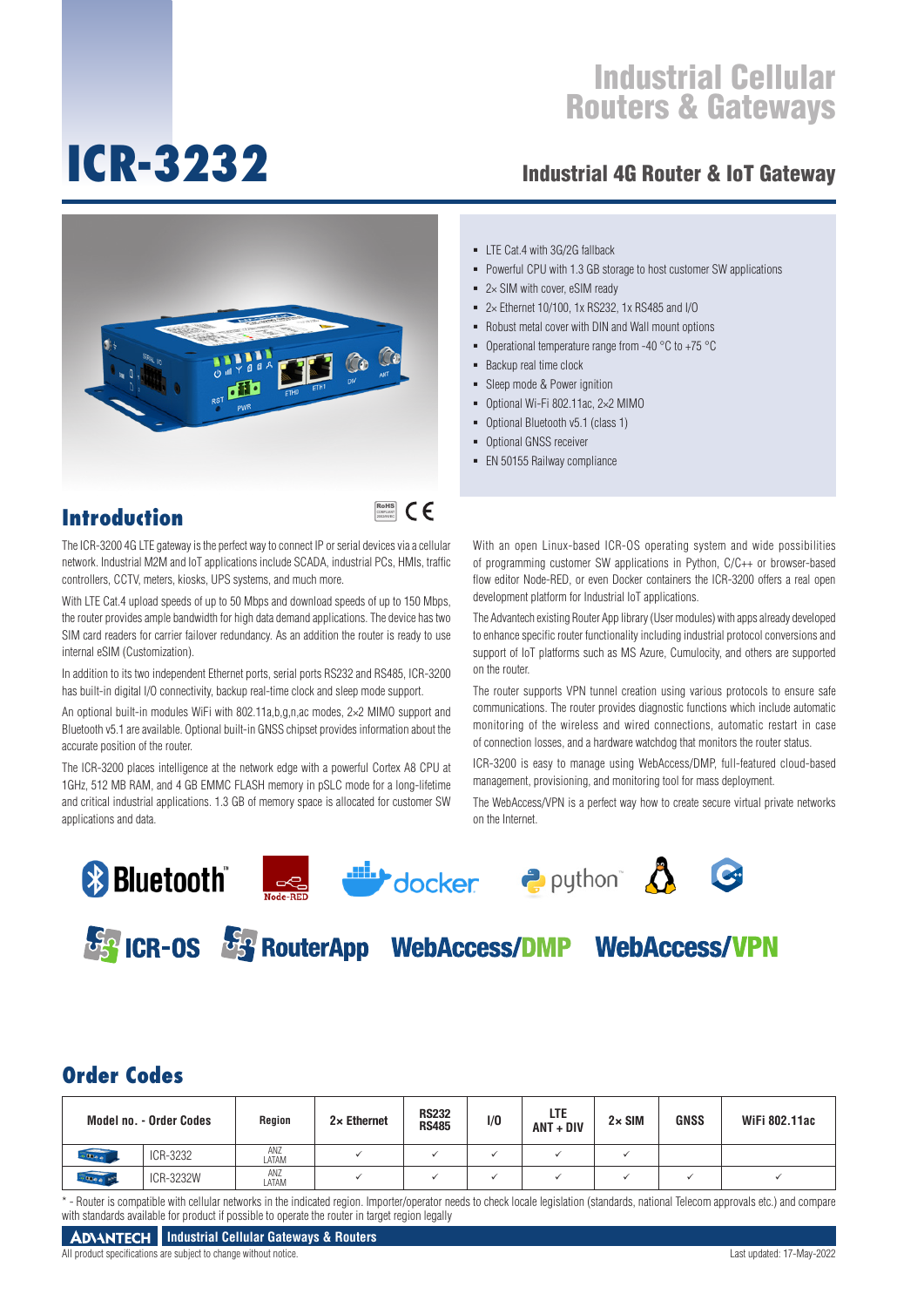# **ICR-3232**

### Industrial 4G Router & IoT Gateway



- $\blacksquare$  LTE Cat.4 with 3G/2G fallback
- **Powerful CPU with 1.3 GB storage to host customer SW applications**
- $= 2 \times$  SIM with cover, eSIM ready
- 2× Ethernet 10/100, 1x RS232, 1x RS485 and I/O
- Robust metal cover with DIN and Wall mount options
- Operational temperature range from -40  $^{\circ}$ C to +75  $^{\circ}$ C
- Backup real time clock
- Sleep mode & Power ignition
- Optional Wi-Fi 802.11ac, 2×2 MIMO
- Optional Bluetooth v5.1 (class 1)
- **Optional GNSS receiver**
- **EN 50155 Railway compliance**

### **Introduction**

### RoHS **COMPLIANT** 2002/95/EC

The ICR-3200 4G LTE gateway is the perfect way to connect IP or serial devices via a cellular network. Industrial M2M and IoT applications include SCADA, industrial PCs, HMIs, traffic controllers, CCTV, meters, kiosks, UPS systems, and much more.

With LTE Cat.4 upload speeds of up to 50 Mbps and download speeds of up to 150 Mbps, the router provides ample bandwidth for high data demand applications. The device has two SIM card readers for carrier failover redundancy. As an addition the router is ready to use internal eSIM (Customization).

In addition to its two independent Ethernet ports, serial ports RS232 and RS485, ICR-3200 has built-in digital I/O connectivity, backup real-time clock and sleep mode support.

An optional built-in modules WiFi with 802.11a,b,g,n,ac modes, 2×2 MIMO support and Bluetooth v5.1 are available. Optional built-in GNSS chipset provides information about the accurate position of the router.

The ICR-3200 places intelligence at the network edge with a powerful Cortex A8 CPU at 1GHz, 512 MB RAM, and 4 GB EMMC FLASH memory in pSLC mode for a long-lifetime and critical industrial applications. 1.3 GB of memory space is allocated for customer SW applications and data.

With an open Linux-based ICR-OS operating system and wide possibilities of programming customer SW applications in Python, C/C++ or browser-based flow editor Node-RED, or even Docker containers the ICR-3200 offers a real open development platform for Industrial IoT applications.

The Advantech existing Router App library (User modules) with apps already developed to enhance specific router functionality including industrial protocol conversions and support of IoT platforms such as MS Azure, Cumulocity, and others are supported on the router.

The router supports VPN tunnel creation using various protocols to ensure safe communications. The router provides diagnostic functions which include automatic monitoring of the wireless and wired connections, automatic restart in case of connection losses, and a hardware watchdog that monitors the router status.

ICR-3200 is easy to manage using WebAccess/DMP, full-featured cloud-based management, provisioning, and monitoring tool for mass deployment.

The WebAccess/VPN is a perfect way how to create secure virtual private networks on the Internet.











**France Can RouterApp WebAccess/DMP WebAccess/VPN** 

### **Order Codes**

|                  | <b>Model no. - Order Codes</b> | Region       | $2 \times$ Ethernet | <b>RS232</b><br><b>RS485</b> | 1/0 | LTE<br>$ANT + DIV$ | $2 \times$ SIM | <b>GNSS</b> | WiFi 802.11ac |
|------------------|--------------------------------|--------------|---------------------|------------------------------|-----|--------------------|----------------|-------------|---------------|
| $-$ Map $\alpha$ | ICR-3232                       | ANZ<br>LATAM |                     |                              |     |                    |                |             |               |
| $-000$ e $-100$  | ICR-3232W                      | ANZ<br>LATAM |                     |                              |     |                    |                |             |               |

\*-Router is compatible with cellular networks in the indicated region. Importer/operator needs to check locale legislation (standards, national Telecom approvals etc.) and compare with standards available for product if possible to operate the router in target region legally

All product specifications are subject to change without notice. Last updated: 17-May-2022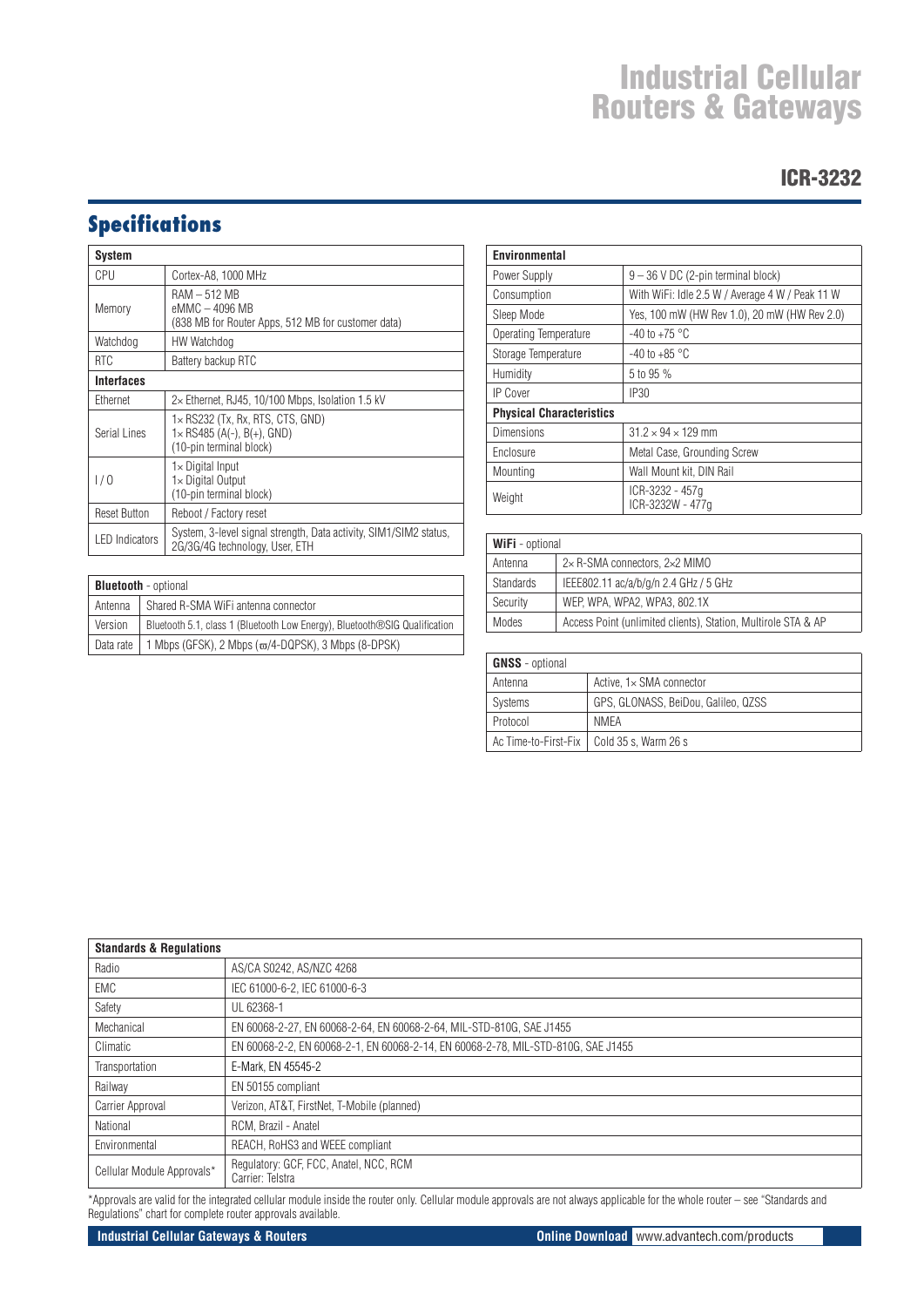### ICR-3232

## **Specifications**

| <b>System</b>                                                                                  |                                                                                                          |  |
|------------------------------------------------------------------------------------------------|----------------------------------------------------------------------------------------------------------|--|
| CPU                                                                                            | Cortex-A8, 1000 MHz                                                                                      |  |
| RAM – 512 MB<br>eMMC - 4096 MB<br>Memory<br>(838 MB for Router Apps, 512 MB for customer data) |                                                                                                          |  |
| Watchdog                                                                                       | HW Watchdog                                                                                              |  |
| <b>RTC</b>                                                                                     | Battery backup RTC                                                                                       |  |
| <b>Interfaces</b>                                                                              |                                                                                                          |  |
| Ethernet                                                                                       | $2\times$ Ethernet, RJ45, 10/100 Mbps, Isolation 1.5 kV                                                  |  |
| Serial Lines                                                                                   | $1\times$ RS232 (Tx, Rx, RTS, CTS, GND)<br>$1 \times$ RS485 (A(-), B(+), GND)<br>(10-pin terminal block) |  |
| 1/0                                                                                            | $1\times$ Digital Input<br>1× Digital Output<br>(10-pin terminal block)                                  |  |
| <b>Reset Button</b>                                                                            | Reboot / Factory reset                                                                                   |  |
| <b>LED</b> Indicators                                                                          | System, 3-level signal strength, Data activity, SIM1/SIM2 status.<br>2G/3G/4G technology, User, ETH      |  |

| <b>Bluetooth</b> - optional |                                                                            |  |  |
|-----------------------------|----------------------------------------------------------------------------|--|--|
| Antenna                     | Shared R-SMA WiFi antenna connector                                        |  |  |
| Version                     | Bluetooth 5.1, class 1 (Bluetooth Low Energy), Bluetooth®SIG Qualification |  |  |
| l Data rate                 | 1 Mbps (GFSK), 2 Mbps ( $\varpi$ /4-DQPSK), 3 Mbps (8-DPSK)                |  |  |

| Environmental                   |                                                 |  |  |
|---------------------------------|-------------------------------------------------|--|--|
| Power Supply                    | $9 - 36$ V DC (2-pin terminal block)            |  |  |
| Consumption                     | With WiFi: Idle 2.5 W / Average 4 W / Peak 11 W |  |  |
| Sleep Mode                      | Yes, 100 mW (HW Rev 1.0), 20 mW (HW Rev 2.0)    |  |  |
| Operating Temperature           | $-40$ to $+75$ °C                               |  |  |
| Storage Temperature             | $-40$ to $+85$ °C                               |  |  |
| Humidity                        | 5 to 95 %                                       |  |  |
| <b>IP Cover</b>                 | IP <sub>30</sub>                                |  |  |
| <b>Physical Characteristics</b> |                                                 |  |  |
| Dimensions                      | $31.2 \times 94 \times 129$ mm                  |  |  |
| Enclosure                       | Metal Case, Grounding Screw                     |  |  |
| Mounting                        | Wall Mount kit, DIN Rail                        |  |  |
| Weight                          | ICR-3232 - 457g<br>ICR-3232W - 477g             |  |  |

| <b>WiFi</b> - optional |                                                               |  |  |
|------------------------|---------------------------------------------------------------|--|--|
| Antenna                | 2×R-SMA connectors, 2×2 MIMO                                  |  |  |
| <b>Standards</b>       | IEEE802.11 ac/a/b/g/n 2.4 GHz / 5 GHz                         |  |  |
| Security               | WEP, WPA, WPA2, WPA3, 802.1X                                  |  |  |
| Modes                  | Access Point (unlimited clients), Station, Multirole STA & AP |  |  |

| <b>GNSS</b> - optional |                                             |  |  |
|------------------------|---------------------------------------------|--|--|
| Antenna                | Active. $1 \times$ SMA connector            |  |  |
| <b>Systems</b>         | GPS, GLONASS, BeiDou, Galileo, QZSS         |  |  |
| Protocol               | NMFA                                        |  |  |
|                        | Ac Time-to-First-Fix   Cold 35 s, Warm 26 s |  |  |

| <b>Standards &amp; Requlations</b> |                                                                                   |  |  |  |
|------------------------------------|-----------------------------------------------------------------------------------|--|--|--|
| Radio                              | AS/CA S0242, AS/NZC 4268                                                          |  |  |  |
| EMC                                | IEC 61000-6-2, IEC 61000-6-3                                                      |  |  |  |
| Safety                             | UL 62368-1                                                                        |  |  |  |
| Mechanical                         | EN 60068-2-27, EN 60068-2-64, EN 60068-2-64, MIL-STD-810G, SAE J1455              |  |  |  |
| Climatic                           | EN 60068-2-2, EN 60068-2-1, EN 60068-2-14, EN 60068-2-78, MIL-STD-810G, SAE J1455 |  |  |  |
| Transportation                     | E-Mark, EN 45545-2                                                                |  |  |  |
| Railway                            | EN 50155 compliant                                                                |  |  |  |
| Carrier Approval                   | Verizon, AT&T, FirstNet, T-Mobile (planned)                                       |  |  |  |
| National                           | RCM, Brazil - Anatel                                                              |  |  |  |
| Environmental                      | REACH, RoHS3 and WEEE compliant                                                   |  |  |  |
| Cellular Module Approvals*         | Regulatory: GCF, FCC, Anatel, NCC, RCM<br>Carrier: Telstra                        |  |  |  |

\*Approvals are valid for the integrated cellular module inside the router only. Cellular module approvals are not always applicable for the whole router – see "Standards and Regulations" chart for complete router approvals available.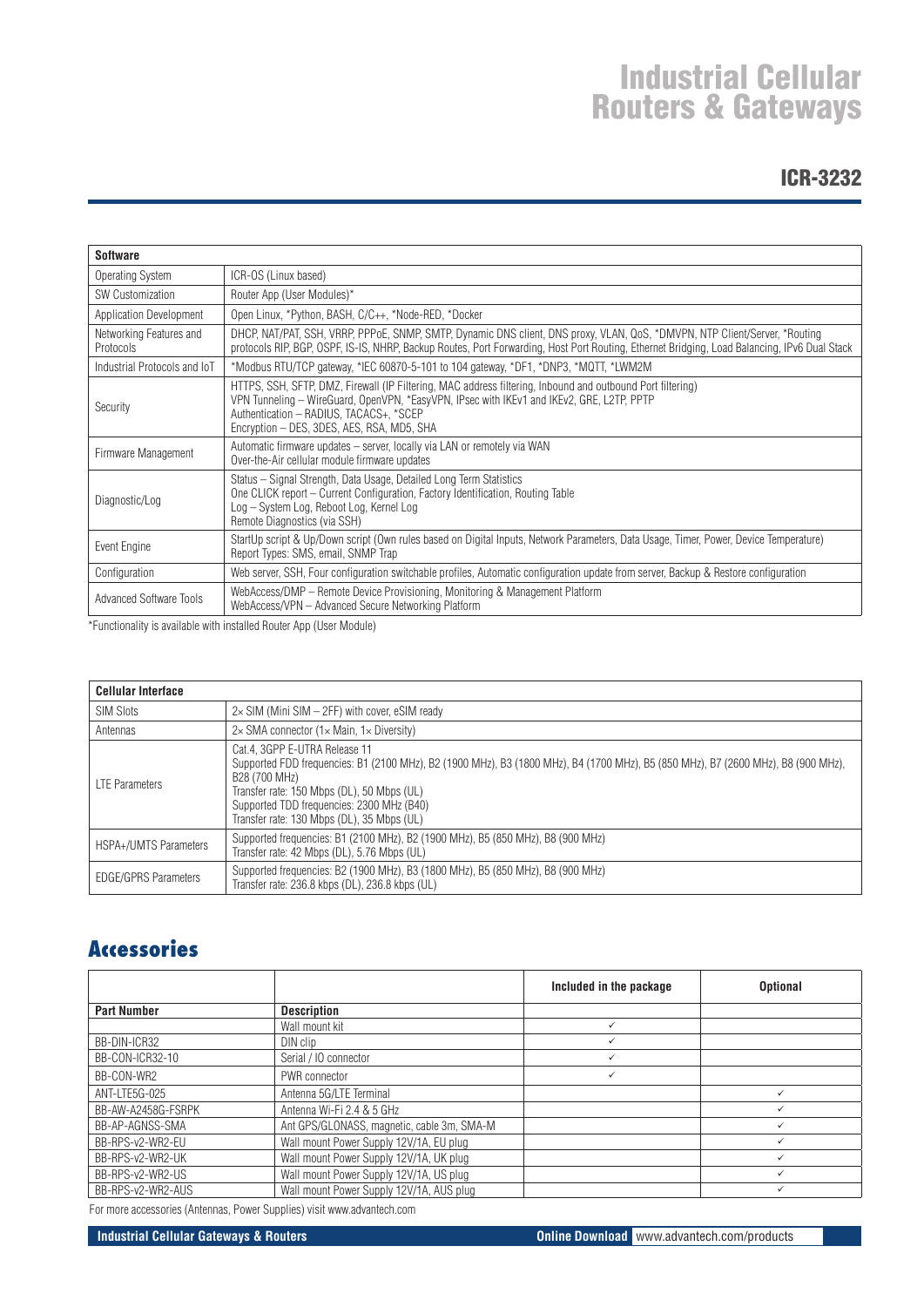### ICR-3232

| <b>Software</b>                             |                                                                                                                                                                                                                                                                                                  |
|---------------------------------------------|--------------------------------------------------------------------------------------------------------------------------------------------------------------------------------------------------------------------------------------------------------------------------------------------------|
| Operating System                            | ICR-OS (Linux based)                                                                                                                                                                                                                                                                             |
| <b>SW Customization</b>                     | Router App (User Modules)*                                                                                                                                                                                                                                                                       |
| Application Development                     | Open Linux, *Python, BASH, C/C++, *Node-RED, *Docker                                                                                                                                                                                                                                             |
| Networking Features and<br><b>Protocols</b> | DHCP, NAT/PAT, SSH, VRRP, PPPoE, SNMP, SMTP, Dynamic DNS client, DNS proxy, VLAN, QoS, *DMVPN, NTP Client/Server, *Routing<br>protocols RIP, BGP, OSPF, IS-IS, NHRP, Backup Routes, Port Forwarding, Host Port Routing, Ethernet Bridging, Load Balancing, IPv6 Dual Stack                       |
| Industrial Protocols and IoT                | *Modbus RTU/TCP gateway, *IEC 60870-5-101 to 104 gateway, *DF1, *DNP3, *MQTT, *LWM2M                                                                                                                                                                                                             |
| Security                                    | HTTPS, SSH, SFTP, DMZ, Firewall (IP Filtering, MAC address filtering, Inbound and outbound Port filtering)<br>VPN Tunneling - WireGuard, OpenVPN, *EasyVPN, IPsec with IKEv1 and IKEv2, GRE, L2TP, PPTP<br>Authentication - RADIUS, TACACS+, *SCEP<br>Encryption - DES, 3DES, AES, RSA, MD5, SHA |
| Firmware Management                         | Automatic firmware updates - server, locally via LAN or remotely via WAN<br>Over-the-Air cellular module firmware updates                                                                                                                                                                        |
| Diagnostic/Log                              | Status – Signal Strength, Data Usage, Detailed Long Term Statistics<br>One CLICK report – Current Configuration, Factory Identification, Routing Table<br>Log - System Log, Reboot Log, Kernel Log<br>Remote Diagnostics (via SSH)                                                               |
| Event Engine                                | StartUp script & Up/Down script (Own rules based on Digital Inputs, Network Parameters, Data Usage, Timer, Power, Device Temperature)<br>Report Types: SMS, email, SNMP Trap                                                                                                                     |
| Configuration                               | Web server, SSH, Four configuration switchable profiles, Automatic configuration update from server, Backup & Restore configuration                                                                                                                                                              |
| <b>Advanced Software Tools</b>              | WebAccess/DMP – Remote Device Provisioning, Monitoring & Management Platform<br>WebAccess/VPN - Advanced Secure Networking Platform                                                                                                                                                              |

\*Functionality is available with installed Router App (User Module)

| <b>Cellular Interface</b>   |                                                                                                                                                                                                                                                                                                                              |
|-----------------------------|------------------------------------------------------------------------------------------------------------------------------------------------------------------------------------------------------------------------------------------------------------------------------------------------------------------------------|
| <b>SIM Slots</b>            | $2\times$ SIM (Mini SIM $-$ 2FF) with cover, eSIM ready                                                                                                                                                                                                                                                                      |
| Antennas                    | $2\times$ SMA connector (1 $\times$ Main, 1 $\times$ Diversity)                                                                                                                                                                                                                                                              |
| <b>LTE Parameters</b>       | Cat.4, 3GPP E-UTRA Release 11<br>Supported FDD frequencies: B1 (2100 MHz), B2 (1900 MHz), B3 (1800 MHz), B4 (1700 MHz), B5 (850 MHz), B7 (2600 MHz), B8 (900 MHz),<br>B28 (700 MHz)<br>Transfer rate: 150 Mbps (DL), 50 Mbps (UL)<br>Supported TDD frequencies: 2300 MHz (B40)<br>Transfer rate: 130 Mbps (DL), 35 Mbps (UL) |
| HSPA+/UMTS Parameters       | Supported frequencies: B1 (2100 MHz), B2 (1900 MHz), B5 (850 MHz), B8 (900 MHz)<br>Transfer rate: 42 Mbps (DL), 5.76 Mbps (UL)                                                                                                                                                                                               |
| <b>EDGE/GPRS Parameters</b> | Supported frequencies: B2 (1900 MHz), B3 (1800 MHz), B5 (850 MHz), B8 (900 MHz)<br>Transfer rate: 236.8 kbps (DL), 236.8 kbps (UL)                                                                                                                                                                                           |

### **Accessories**

|                    |                                            | Included in the package | <b>Optional</b> |
|--------------------|--------------------------------------------|-------------------------|-----------------|
| <b>Part Number</b> | <b>Description</b>                         |                         |                 |
|                    | Wall mount kit                             | $\checkmark$            |                 |
| BB-DIN-ICR32       | DIN clip                                   | $\checkmark$            |                 |
| BB-CON-ICR32-10    | Serial / IO connector                      | ✓                       |                 |
| BB-CON-WR2         | PWR connector                              | $\checkmark$            |                 |
| ANT-LTE5G-025      | Antenna 5G/LTE Terminal                    |                         | $\checkmark$    |
| BB-AW-A2458G-FSRPK | Antenna Wi-Fi 2.4 & 5 GHz                  |                         |                 |
| BB-AP-AGNSS-SMA    | Ant GPS/GLONASS, magnetic, cable 3m, SMA-M |                         | $\checkmark$    |
| BB-RPS-v2-WR2-EU   | Wall mount Power Supply 12V/1A, EU plug    |                         |                 |
| BB-RPS-v2-WR2-UK   | Wall mount Power Supply 12V/1A, UK plug    |                         |                 |
| BB-RPS-v2-WR2-US   | Wall mount Power Supply 12V/1A, US plug    |                         |                 |
| BB-RPS-v2-WR2-AUS  | Wall mount Power Supply 12V/1A, AUS plug   |                         |                 |

For more accessories (Antennas, Power Supplies) visit www.advantech.com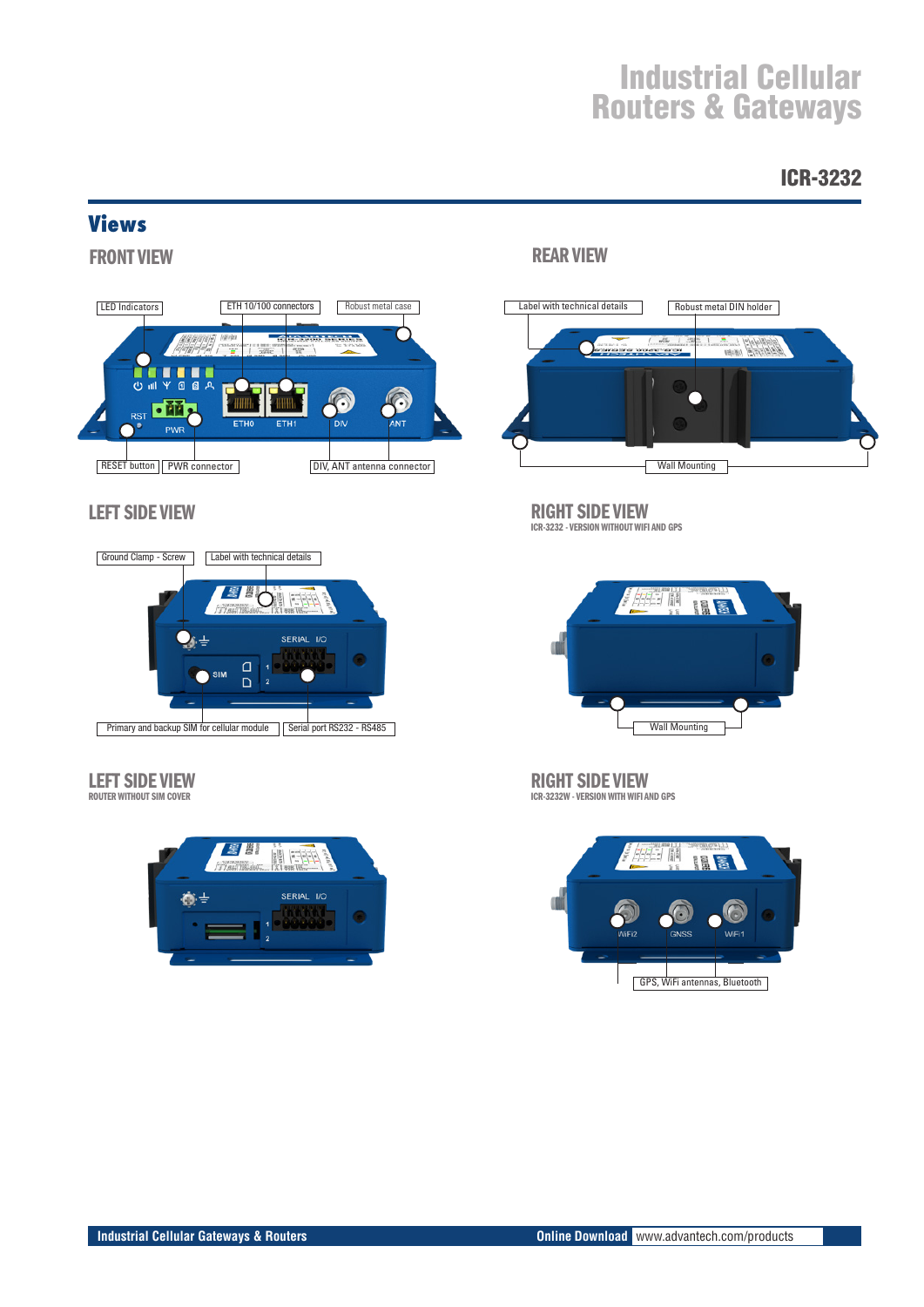### ICR-3232

### **Views**

FRONT VIEW



### LEFT SIDE VIEW



### LEFT SIDE VIEW

ROUTER WITHOUT SIM COVER



### REAR VIEW



### RIGHT SIDE VIEW

ICR-3232 - VERSION WITHOUT WIFI AND GPS



RIGHT SIDE VIEW ICR-3232W - VERSION WITH WIFI AND GPS

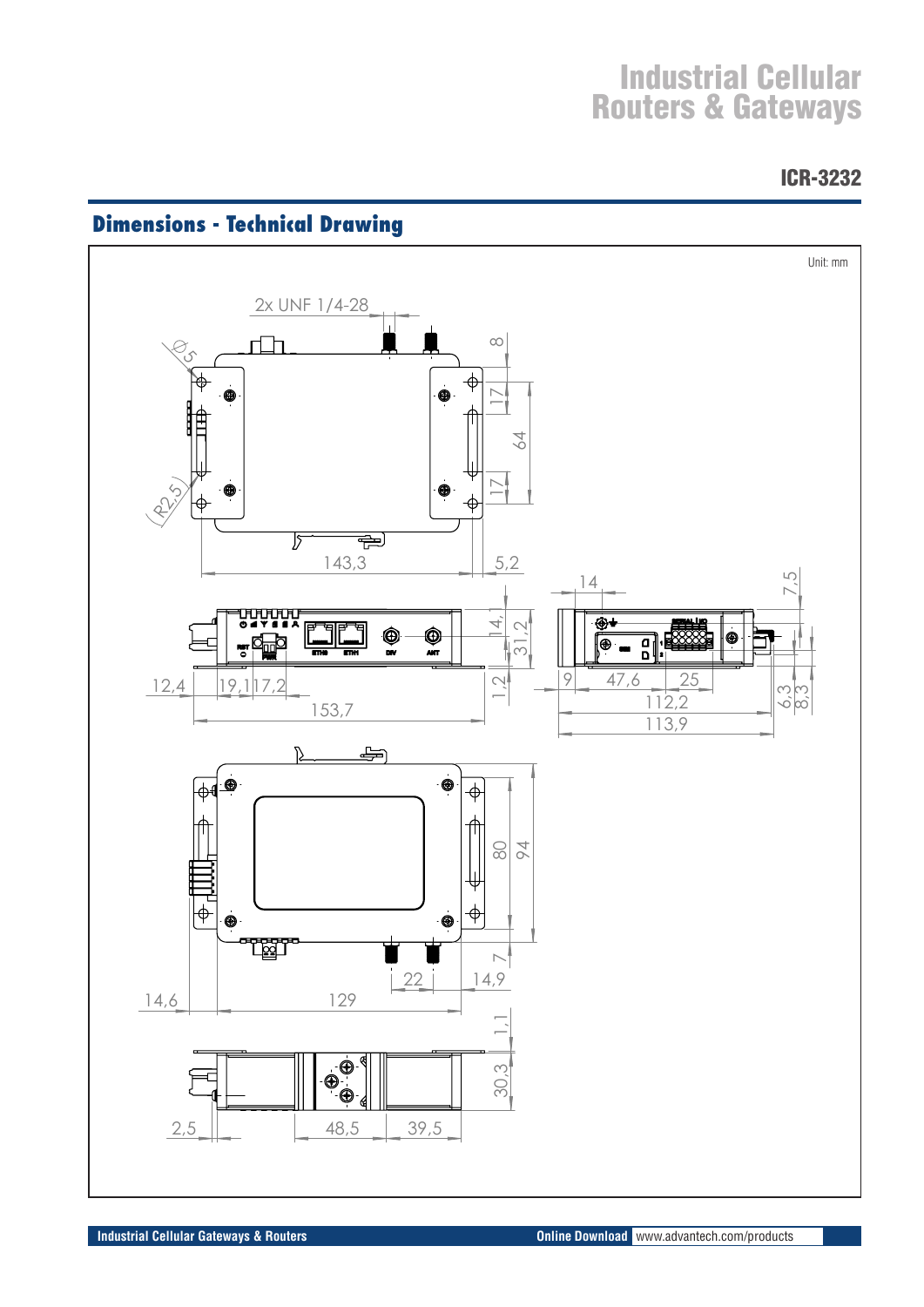ICR-3232